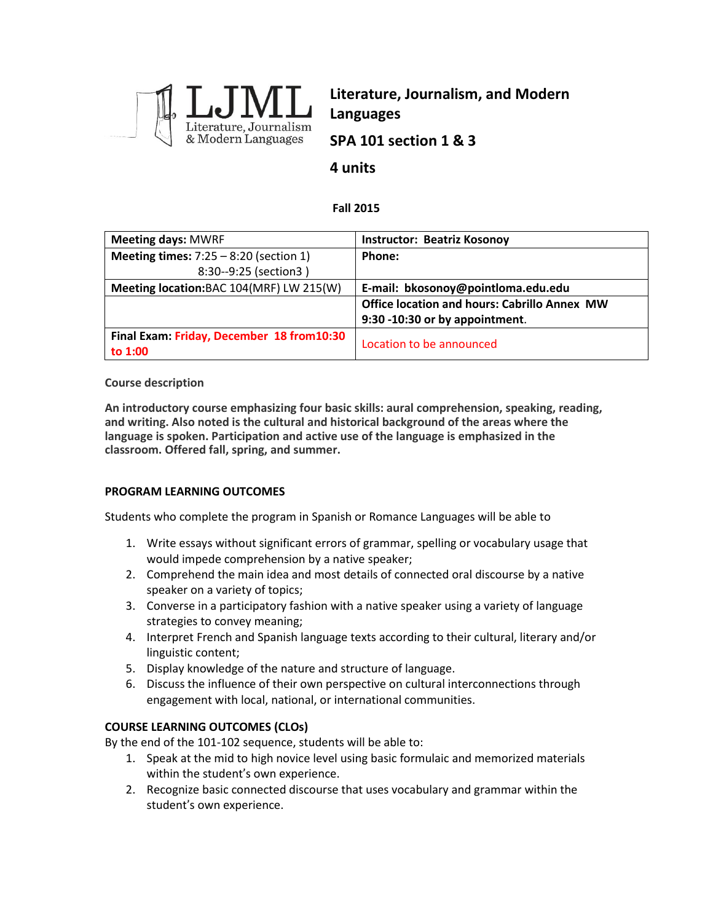

**Literature, Journalism, and Modern Languages SPA 101 section 1 & 3**

## **4 units**

### **Fall 2015**

| <b>Meeting days: MWRF</b>                 | <b>Instructor: Beatriz Kosonoy</b>                  |
|-------------------------------------------|-----------------------------------------------------|
| Meeting times: $7:25 - 8:20$ (section 1)  | Phone:                                              |
| 8:30--9:25 (section3)                     |                                                     |
| Meeting location: BAC 104(MRF) LW 215(W)  | E-mail: bkosonoy@pointloma.edu.edu                  |
|                                           | <b>Office location and hours: Cabrillo Annex MW</b> |
|                                           | 9:30 -10:30 or by appointment.                      |
| Final Exam: Friday, December 18 from10:30 | Location to be announced                            |
| to 1:00                                   |                                                     |

### **Course description**

**An introductory course emphasizing four basic skills: aural comprehension, speaking, reading, and writing. Also noted is the cultural and historical background of the areas where the language is spoken. Participation and active use of the language is emphasized in the classroom. Offered fall, spring, and summer.** 

### **PROGRAM LEARNING OUTCOMES**

Students who complete the program in Spanish or Romance Languages will be able to

- 1. Write essays without significant errors of grammar, spelling or vocabulary usage that would impede comprehension by a native speaker;
- 2. Comprehend the main idea and most details of connected oral discourse by a native speaker on a variety of topics;
- 3. Converse in a participatory fashion with a native speaker using a variety of language strategies to convey meaning;
- 4. Interpret French and Spanish language texts according to their cultural, literary and/or linguistic content;
- 5. Display knowledge of the nature and structure of language.
- 6. Discuss the influence of their own perspective on cultural interconnections through engagement with local, national, or international communities.

### **COURSE LEARNING OUTCOMES (CLOs)**

By the end of the 101-102 sequence, students will be able to:

- 1. Speak at the mid to high novice level using basic formulaic and memorized materials within the student's own experience.
- 2. Recognize basic connected discourse that uses vocabulary and grammar within the student's own experience.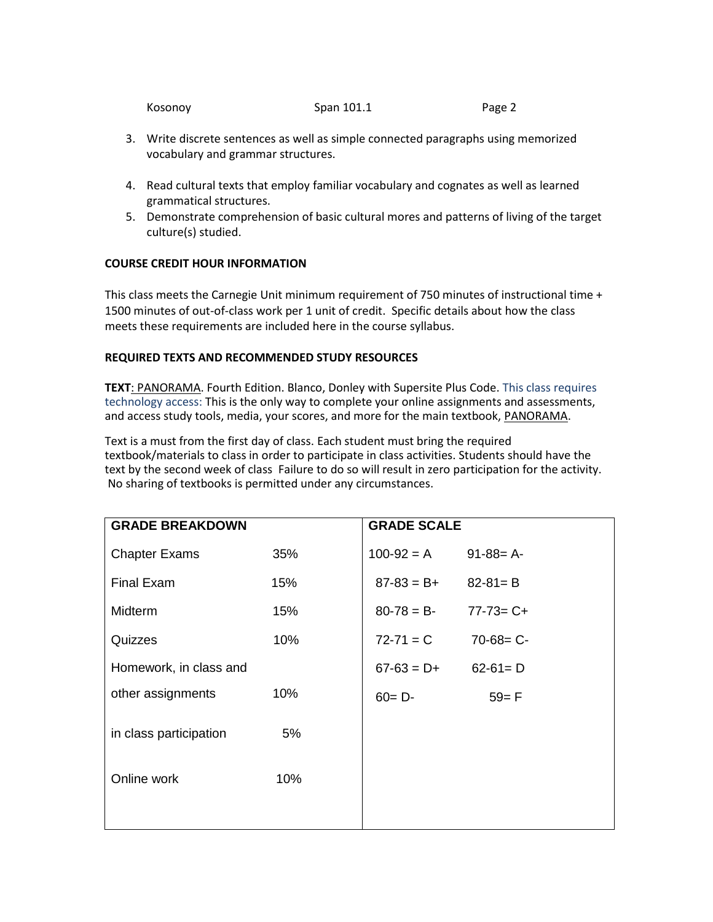| Kosonov | Span 101.1 | Page 2 |
|---------|------------|--------|
|         |            |        |

- 3. Write discrete sentences as well as simple connected paragraphs using memorized vocabulary and grammar structures.
- 4. Read cultural texts that employ familiar vocabulary and cognates as well as learned grammatical structures.
- 5. Demonstrate comprehension of basic cultural mores and patterns of living of the target culture(s) studied.

## **COURSE CREDIT HOUR INFORMATION**

This class meets the Carnegie Unit minimum requirement of 750 minutes of instructional time + 1500 minutes of out-of-class work per 1 unit of credit. Specific details about how the class meets these requirements are included here in the course syllabus.

## **REQUIRED TEXTS AND RECOMMENDED STUDY RESOURCES**

**TEXT**: PANORAMA. Fourth Edition. Blanco, Donley with Supersite Plus Code. This class requires technology access: This is the only way to complete your online assignments and assessments, and access study tools, media, your scores, and more for the main textbook, PANORAMA.

Text is a must from the first day of class. Each student must bring the required textbook/materials to class in order to participate in class activities. Students should have the text by the second week of class Failure to do so will result in zero participation for the activity. No sharing of textbooks is permitted under any circumstances.

| <b>GRADE BREAKDOWN</b> |     | <b>GRADE SCALE</b> |                 |
|------------------------|-----|--------------------|-----------------|
| <b>Chapter Exams</b>   | 35% | $100-92 = A$       | $91 - 88 = A$   |
| Final Exam             | 15% | $87-83 = B+$       | $82 - 81 = B$   |
| <b>Midterm</b>         | 15% | $80 - 78 = B$      | $77 - 73 = C +$ |
| Quizzes                | 10% | $72 - 71 = C$      | $70-68 = C -$   |
| Homework, in class and |     | $67-63 = D+$       | $62-61 = D$     |
| other assignments      | 10% | $60 = D -$         | $59 = F$        |
| in class participation | 5%  |                    |                 |
| Online work            | 10% |                    |                 |
|                        |     |                    |                 |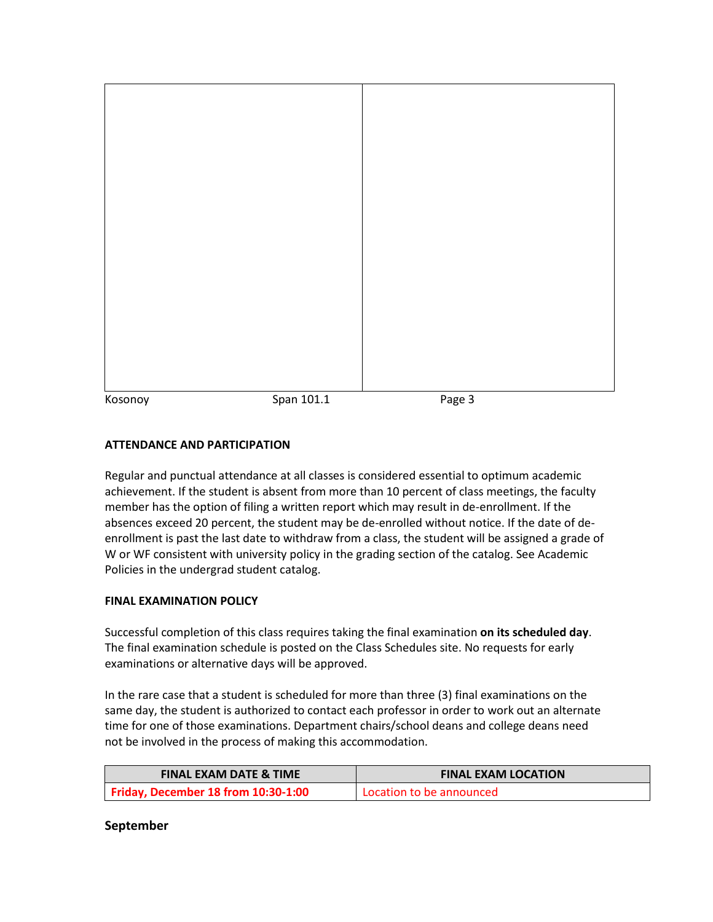| Kosonoy | Span 101.1 | Page 3 |  |
|---------|------------|--------|--|

## **ATTENDANCE AND PARTICIPATION**

Regular and punctual attendance at all classes is considered essential to optimum academic achievement. If the student is absent from more than 10 percent of class meetings, the faculty member has the option of filing a written report which may result in de-enrollment. If the absences exceed 20 percent, the student may be de-enrolled without notice. If the date of deenrollment is past the last date to withdraw from a class, the student will be assigned a grade of W or WF consistent with university policy in the grading section of the catalog. See Academic Policies in the undergrad student catalog.

### **FINAL EXAMINATION POLICY**

Successful completion of this class requires taking the final examination **on its scheduled day**. The final examination schedule is posted on the Class Schedules site. No requests for early examinations or alternative days will be approved.

In the rare case that a student is scheduled for more than three (3) final examinations on the same day, the student is authorized to contact each professor in order to work out an alternate time for one of those examinations. Department chairs/school deans and college deans need not be involved in the process of making this accommodation.

| <b>FINAL EXAM DATE &amp; TIME</b>   | <b>FINAL EXAM LOCATION</b> |
|-------------------------------------|----------------------------|
| Friday, December 18 from 10:30-1:00 | Location to be announced   |

### **September**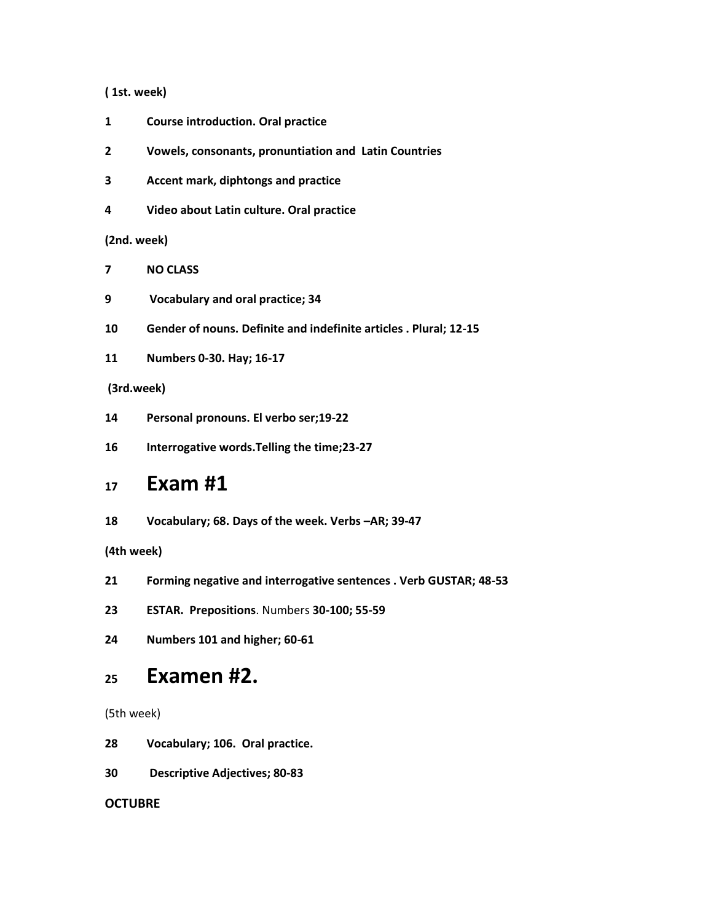### **( 1st. week)**

- **Course introduction. Oral practice**
- **Vowels, consonants, pronuntiation and Latin Countries**
- **3 Accent mark, diphtongs and practice**
- **Video about Latin culture. Oral practice**

**(2nd. week)**

- **NO CLASS**
- **Vocabulary and oral practice; 34**
- **Gender of nouns. Definite and indefinite articles . Plural; 12-15**
- **Numbers 0-30. Hay; 16-17**

### **(3rd.week)**

- **Personal pronouns. El verbo ser;19-22**
- **Interrogative words.Telling the time;23-27**

# **Exam #1**

**Vocabulary; 68. Days of the week. Verbs –AR; 39-47**

**(4th week)**

- **Forming negative and interrogative sentences . Verb GUSTAR; 48-53**
- **ESTAR. Prepositions**. Numbers **30-100; 55-59**
- **Numbers 101 and higher; 60-61**

# **Examen #2.**

(5th week)

- **Vocabulary; 106. Oral practice.**
- **Descriptive Adjectives; 80-83**

### **OCTUBRE**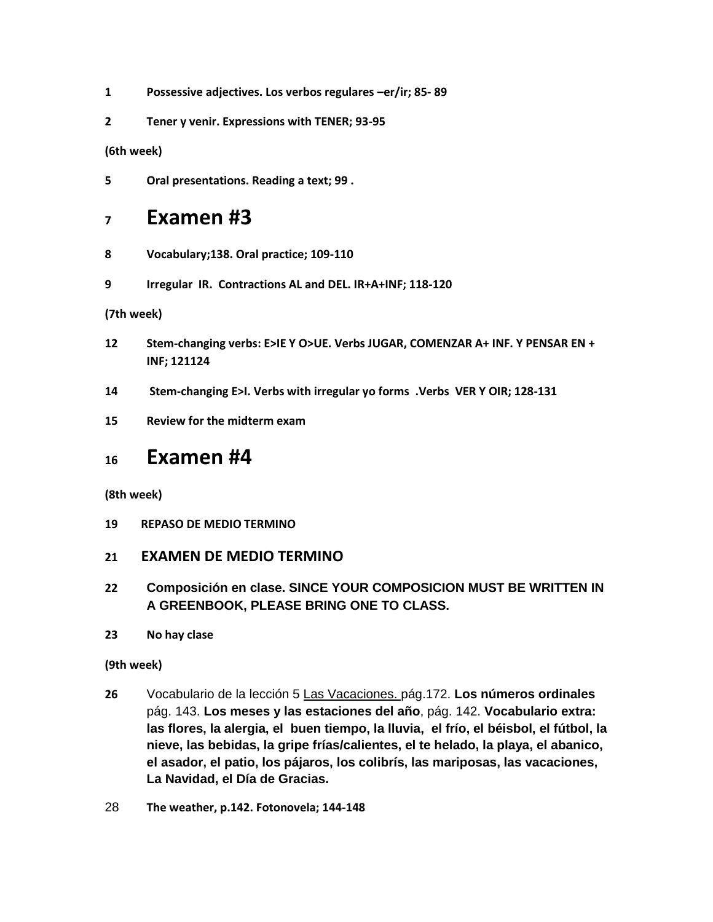- **1 Possessive adjectives. Los verbos regulares –er/ir; 85- 89**
- **2 Tener y venir. Expressions with TENER; 93-95**

**(6th week)**

**5 Oral presentations. Reading a text; 99 .** 

# **<sup>7</sup> Examen #3**

- **8 Vocabulary;138. Oral practice; 109-110**
- **9 Irregular IR. Contractions AL and DEL. IR+A+INF; 118-120**

**(7th week)**

- **12 Stem-changing verbs: E>IE Y O>UE. Verbs JUGAR, COMENZAR A+ INF. Y PENSAR EN + INF; 121124**
- **14 Stem-changing E>I. Verbs with irregular yo forms .Verbs VER Y OIR; 128-131**
- **15 Review for the midterm exam**

# **<sup>16</sup> Examen #4**

**(8th week)**

**19 REPASO DE MEDIO TERMINO**

## **21 EXAMEN DE MEDIO TERMINO**

- **22 Composición en clase. SINCE YOUR COMPOSICION MUST BE WRITTEN IN A GREENBOOK, PLEASE BRING ONE TO CLASS.**
- **23 No hay clase**

## **(9th week)**

- **26** Vocabulario de la lección 5 Las Vacaciones. pág.172. **Los números ordinales** pág. 143. **Los meses y las estaciones del año**, pág. 142. **Vocabulario extra: las flores, la alergia, el buen tiempo, la lluvia, el frío, el béisbol, el fútbol, la nieve, las bebidas, la gripe frías/calientes, el te helado, la playa, el abanico, el asador, el patio, los pájaros, los colibrís, las mariposas, las vacaciones, La Navidad, el Día de Gracias.**
- 28 **The weather, p.142. Fotonovela; 144-148**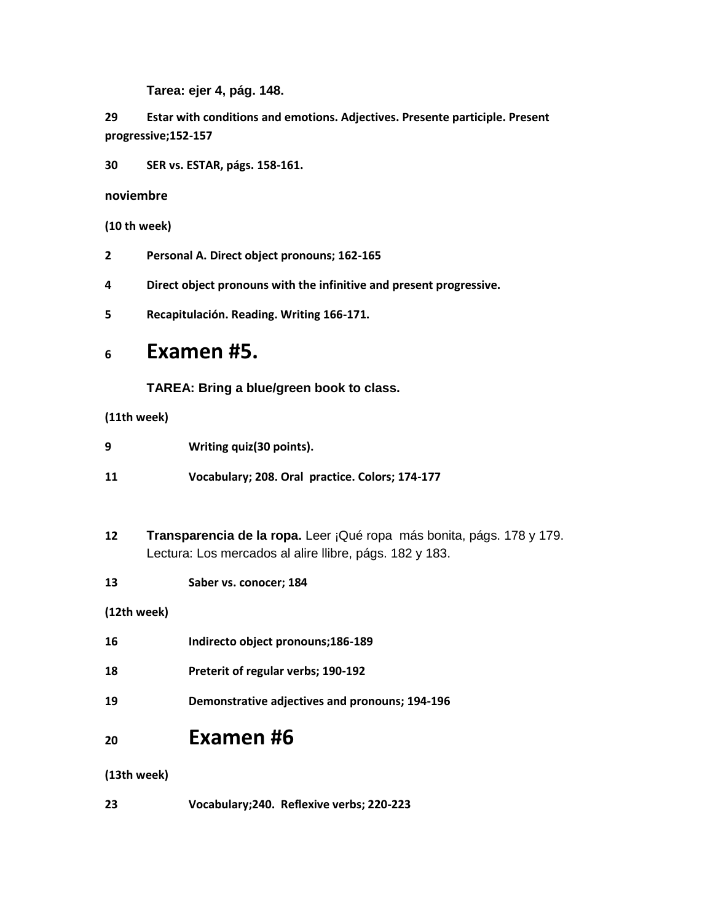**Tarea: ejer 4, pág. 148.**

**29 Estar with conditions and emotions. Adjectives. Presente participle. Present progressive;152-157**

**30 SER vs. ESTAR, págs. 158-161.**

**noviembre**

**(10 th week)**

- **2 Personal A. Direct object pronouns; 162-165**
- **4 Direct object pronouns with the infinitive and present progressive.**
- **5 Recapitulación. Reading. Writing 166-171.**

# **<sup>6</sup> Examen #5.**

**TAREA: Bring a blue/green book to class.**

**(11th week)**

| 9 | Writing quiz(30 points). |
|---|--------------------------|
|---|--------------------------|

**11 Vocabulary; 208. Oral practice. Colors; 174-177**

- **12 Transparencia de la ropa.** Leer ¡Qué ropa más bonita, págs. 178 y 179. Lectura: Los mercados al alire llibre, págs. 182 y 183.
- **13 Saber vs. conocer; 184**

**(12th week)**

- **18 Preterit of regular verbs; 190-192**
- **19 Demonstrative adjectives and pronouns; 194-196**

# **<sup>20</sup> Examen #6**

**(13th week)**

**23 Vocabulary;240. Reflexive verbs; 220-223**